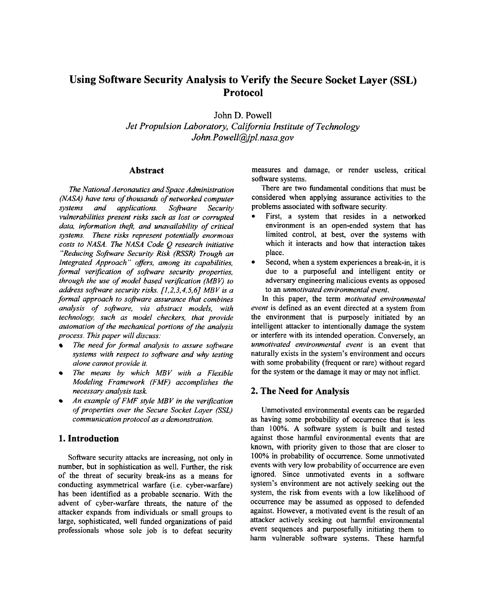# **Using Software Security Analysis to Verify the Secure Socket Layer (SSL) Protocol**

*John D. Powell Jet Propulsion Laboratory, California Institute of Technology John. Powell@pl. [nasa.gov](http://nasa.gov)* 

### **Abstract**

*The National Aeronautics and Space Administration (NASA) have tens of thousands of networked computer systems and applications. Software Security vulnerabilities present risks such as lost or corrupted data, information theft, and unavailability of critical systems. These risks represent potentially enormous costs to NASA. The NASA Code Q research initiative "Reducing Software Security Risk (RSSR) Trough an Integrated Approach* '' *oflers, among its capabilities, formal verlfication of software security properties, through the use of model based verification (MBV) to address software security risks. [1,2,3,4,5,6] MBV is a formal approach to software assurance that combines analysis of software, via abstract models, with technology, such as model checkers, that provide automation of the mechanical portions of the analysis process. This paper will discuss:* 

- *The need for formal analysis to assure software systems with respect to software and why testing alone cannot provide it.*
- *The means by which MBV with a Flexible Modeling Framework (FMF) accomplishes the necessary analysis task.*
- *An example of FMF style MBV in the verlfication of properties over the Secure Socket Layer (SSL) communication protocol as a demonstration.*

## **1. Introduction**

Software security attacks are increasing, not only in number, but in sophistication as well. Further, the risk of the threat of security break-ins as a means for conducting asymmetrical warfare (i.e. cyber-warfare) has been identified as a probable scenario. With the advent of cyber-warfare threats, the nature of the attacker expands from individuals or small groups to large, sophisticated, well funded organizations of paid professionals whose sole job is to defeat security

measures and damage, or render useless, critical software systems.

There are two fimdamental conditions that must be considered when applying assurance activities to the problems associated with software security.

- First, a system that resides in a networked environment is an open-ended system that has limited control, at best, over the systems with which it interacts and how that interaction takes place.
- Second, when a system experiences a break-in, it is due to a purposeful and intelligent entity or adversary engineering malicious events as opposed to an *unmotivated environmental event.*

In this paper, the term *motivated environmental event* is defined as an event directed at a system from the environment that is purposely initiated by an intelligent attacker to intentionally damage the system or interfere with its intended operation. Conversely, an *unmotivated environmental event is* an event that naturally exists in the system's environment and occurs with some probability (frequent or rare) without regard for the system or the damage it may or may not inflict.

## **2. The Need for Analysis**

Unmotivated environmental events can be regarded as having some probability of occurrence that is less than 100%. **A** software system is built and tested against those harmful environmental events that are known, with priority given to those that are closer to 100% in probability of occurrence. Some unmotivated events with very low probability of occurrence are even ignored. Since unmotivated events in a software system's environment are not actively seeking out the system, the risk from events with a low likelihood of occurrence may be assumed as opposed to defended against. However, a motivated event is the result of an attacker actively seeking out harmful environmental event sequences and purposefully initiating them to harm vulnerable software systems. These harmful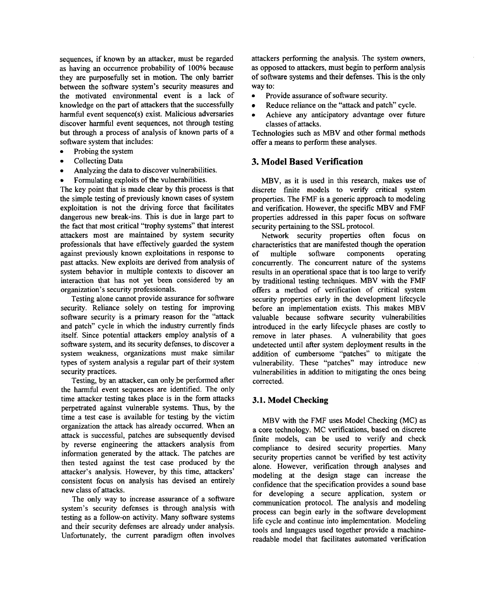sequences, if known by an attacker, must be regarded as having an occurrence probability of 100% because they are purposefully set in motion. The only barrier between the software system's security measures and the motivated environmental event is a lack of knowledge on the part of attackers that the successfully harmful event sequence(s) exist. Malicious adversaries discover harmful event sequences, not through testing but through a process of analysis of known parts of a software system that includes:

- *0* Probing the system
- **Collecting Data**
- Analyzing the data to discover vulnerabilities.
- Formulating exploits of the vulnerabilities.

The key point that is made clear by this process is that the simple testing of previously known cases of system exploitation is not the driving force that facilitates dangerous new break-ins. This is due in large part to the fact that most critical "trophy systems" that interest attackers most are maintained by system security professionals that have effectively guarded the system against previously known exploitations in response to past attacks. New exploits are derived ffom analysis of system behavior in multiple contexts to discover an interaction that has not yet been considered by **an**  organization's security professionals.

Testing alone cannot provide assurance for software security. Reliance solely on testing for improving software security is a primary reason for the "attack and patch" cycle in which the industry currently finds itself. Since potential attackers employ analysis of a software system, and its security defenses, to discover a system weakness, organizations must make similar types of system analysis a regular part of their system security practices.

Testing, by an attacker, can only be performed after the harmful event sequences are identified. The only time attacker testing takes place is in the form attacks perpetrated against vulnerable systems. Thus, by the time a test case is available for testing by the victim organization the attack has already occurred. When an attack is successful, patches are subsequently devised by reverse engineering the attackers analysis ffom information generated by the attack. The patches are then tested against the test case produced by the attacker's analysis. However, by this time, attackers' consistent focus on analysis has devised an entirely new class of attacks.

The only way to increase assurance of a software system's security defenses is through analysis with testing as a follow-on activity. Many software systems and their security defenses are already under analysis. Unfortunately, the current paradigm often involves attackers performing the analysis. The system owners, as opposed to attackers, must begin to perform analysis of software systems and their defenses. This is the only way to:

- *0* Provide assurance of software security.
- Reduce reliance on the "attack and patch" cycle.  $\bullet$
- Achieve any anticipatory advantage over future classes of attacks.

Technologies such as MBV and other formal methods offer a means to perform these analyses.

## **3. Model Based Verification**

MBV, as it is used in this research, makes use of discrete finite models to verify critical system properties. The FMF is a generic approach to modeling and verification. However, the specific MBV and FMF properties addressed in this paper focus on software security pertaining to the SSL protocol.

Network security properties often focus on characteristics that are manifested though the operation<br>of multiple software components operating of multiple software components concurrently. The concurrent nature of the systems results in **an** operational space that is too large to verify by traditional testing techniques. MBV with the FMF offers a method of verification of critical system security properties early in the development lifecycle before an implementation exists. This makes MBV valuable because software security vulnerabilities introduced in the early lifecycle phases are costly to remove in later phases. A vulnerability that goes undetected until after system deployment results in the addition of cumbersome "patches" to mitigate the vulnerability. These "patches" may introduce new vulnerabilities in addition to mitigating the ones being corrected.

## **3.1. Model Checking**

MBV with the FMF uses Model Checking (MC) **as**  a core technology. MC verifications, based on discrete finite models, can be used to verify and check compliance to desired security properties. Many security properties cannot be verified by test activity alone. However, verification through analyses and modeling at the design stage can increase the confidence that the specification provides a sound base for developing a secure application, system or communication protocol. The analysis and modeling process can begin early in the software development life cycle and continue into implementation. Modeling tools and languages used together provide a machinereadable model that facilitates automated verification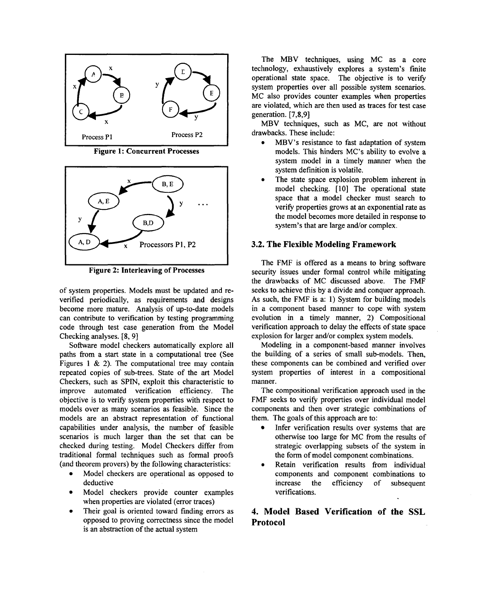

**Figure 1: Concurrent Processes** 



**Figure 2: Interleaving of Processes** 

of system properties. Models must be updated and reverified periodically, as requirements and designs become more mature. Analysis of up-to-date models can contribute to verification by testing programming code through test case generation from the Model Checking analyses. **[8,9]** 

Software model checkers automatically explore all paths from a start state in a computational tree (See Figures 1 & 2). The computational tree may contain repeated copies of sub-trees. State of the **art** Model Checkers, such as SPIN, exploit this characteristic to improve automated verification efficiency. The objective is to verify system properties with respect to models over as many scenarios as feasible. Since the models are an abstract representation of functional capabilities under analysis, the number of feasible scenarios is much larger than the set that can be checked during testing. Model Checkers differ from traditional formal techniques such as formal proofs (and theorem provers) by the following characteristics:

- Model checkers are operational as opposed to  $\bullet$ deductive
- Model checkers provide counter examples when properties are violated (error traces)
- Their goal is oriented toward finding errors as  $\bullet$ opposed to proving correctness since the model is an abstraction of the actual system

The MBV techniques, using MC as a core technology, exhaustively explores a system's finite operational state space. The objective is to verify system properties over all possible system scenarios. MC also provides counter examples when properties are violated, which are then used as traces for test case generation. [ **7,8,9]** 

MBV techniques, such as MC, are not without drawbacks. These include:

- MBV's resistance to fast adaptation of system models. This hinders MC's ability to evolve a system model in a timely manner when the system definition is volatile.
- The state space explosion problem inherent in model checking. [10] The operational state space that a model checker must search to verify properties grows at an exponential rate as the model becomes more detailed in response to system's that are large and/or complex. *0*

#### **3.2. The Flexible Modeling Framework**

The FMF is offered as a means to bring software security issues under formal control while mitigating the drawbacks of MC discussed above. The FMF seeks to achieve this by a divide and conquer approach. As such, the FMF is a: 1) System for building models in a component based manner to cope with system evolution in a timely manner, 2) Compositional verification approach to delay the effects of state space explosion for larger and/or complex system models.

Modeling in a component-based manner involves the building of a series of small sub-models. Then, these components can be combined and verified over system properties of interest in a compositional manner.

The compositional verification approach used in the FMF seeks to verify properties over individual model components and then over strategic combinations of them. The goals of this approach are to:

- Infer verification results over systems that are  $\bullet$ otherwise too large for MC from the results of strategic overlapping subsets of the system in the form of model component combinations.
- Retain verification results from individual components and component combinations to increase the efficiency of subsequent verifications.

# **4. Model Based Verification of the SSL Protocol**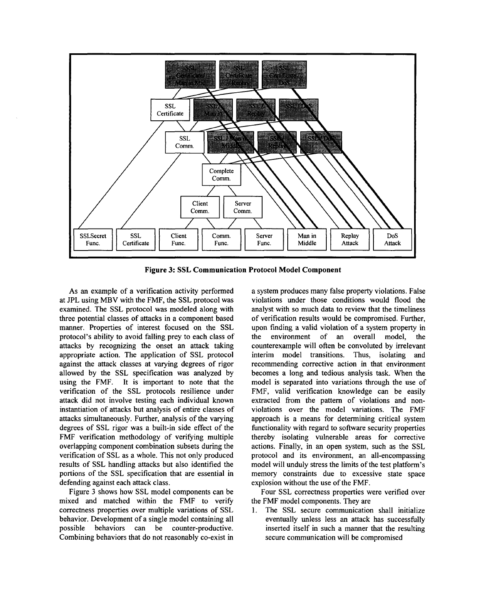

**Figure 3: SSL Communication Protocol Model Component** 

As an example of a verification activity performed at JPL using MBV with the FMF, the SSL protocol was examined. The SSL protocol was modeled along with three potential classes of attacks in a component based manner. Properties of interest focused on the SSL protocol's ability to avoid falling prey to each class of attacks by recognizing the onset an attack taking appropriate action. The application of SSL protocol against the attack classes at varying degrees of rigor allowed by the SSL specification was analyzed by using the FMF. It is important to note that the verification of the SSL protocols resilience under attack did not involve testing each individual known instantiation of attacks but analysis of entire classes of attacks simultaneously. Further, analysis of the varying degrees of SSL rigor was a built-in side effect of the FMF verification methodology of verifying multiple overlapping component combination subsets during the verification of SSL as a whole. This not only produced results of SSL handling attacks but also identified the portions of the SSL specification that are essential in defending against each attack class.

Figure 3 shows how SSL model components can be mixed and matched within the FMF to verify correctness properties over multiple variations of SSL behavior. Development of a single model containing all possible behaviors can be counter-productive. Combining behaviors that do not reasonably co-exist in

a system produces many false property violations. False violations under those conditions would flood the analyst with so much data to review that the timeliness of verification results would be compromised. Further, upon fmding a valid violation of a system property in the environment of an overall model, the counterexample will often be convoluted by irrelevant interim model transitions. Thus, isolating and recommending corrective action in that environment becomes a long and tedious analysis task. When the model is separated into variations through the use of FMF, valid verification knowledge can be easily extracted from the pattern of violations and nonviolations over the model variations. The FMF approach is a means for determining critical system functionality with regard to software security properties thereby isolating vulnerable areas for corrective actions. Finally, in an open system, such as the SSL protocol and its environment, an all-encompassing model will unduly stress the limits of the test platform's memory constraints due to excessive state space explosion without the use of the FMF.

Four SSL correctness properties were verified over the FMF model components. They are

1. The SSL secure communication shall initialize eventually unless less an attack has successfully inserted itself in such a manner that the resulting secure communication will be compromised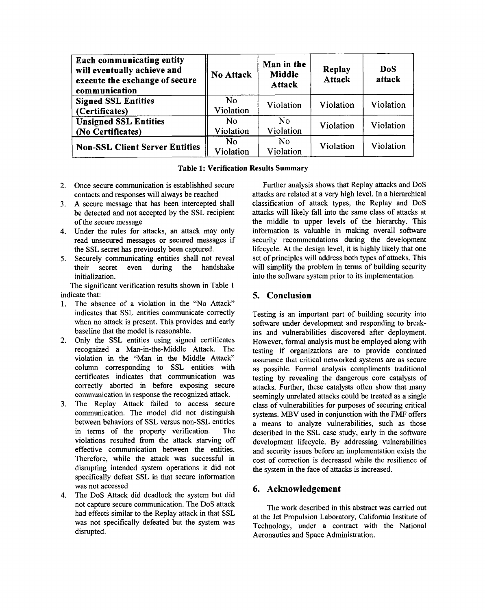| Each communicating entity<br>will eventually achieve and<br>execute the exchange of secure<br>communication | No Attack       | Man in the<br>Middle<br><b>Attack</b> | Replay<br><b>Attack</b> | <b>DoS</b><br>attack |
|-------------------------------------------------------------------------------------------------------------|-----------------|---------------------------------------|-------------------------|----------------------|
| <b>Signed SSL Entities</b><br>(Certificates)                                                                | No<br>Violation | Violation                             | Violation               | Violation            |
| <b>Unsigned SSL Entities</b><br>(No Certificates)                                                           | No<br>Violation | N <sub>0</sub><br>Violation           | Violation               | Violation            |
| <b>Non-SSL Client Server Entities</b>                                                                       | No<br>Violation | No.<br>Violation                      | Violation               | Violation            |

# **Table 1: Verification Results Summary**

- **2.**  Once secure communication is establishhed secure contacts and responses will always be reached
- **3.**  A secure message that has been intercepted shall be detected and not accepted by the SSL recipient of the secure message
- Under the rules for attacks, an attack may only 4. read unsecured messages or secured messages if the SSL secret has previously been captured.
- Securely communicating entities shall not reveal *5.*  their secret even during the handshake initialization.

The significant verification results shown in Table **1**  indicate that:

- The absence of a violation in the "No Attack" indicates that SSL entities communicate correctly when no attack is present. This provides and early baseline that the model is reasonable. **1.**
- 2. Only the SSL entities using signed certificates recognized a Man-in-the-Middle Attack. The violation in the "Man in the Middle Attack" column corresponding to SSL entities with certificates indicates that communication was correctly aborted in before exposing secure communication in response the recognized attack.
- 3. The Replay Attack failed to access secure communication. The model did not distinguish between behaviors of SSL versus non-SSL entities in terms of the property verification. The violations resulted from the attack starving off effective communication between the entities. Therefore, while the attack was successfid in disrupting intended system operations it did not specifically defeat SSL in that secure information was not accessed
- The **DoS** Attack did deadlock the system but did not capture secure communication. The **DoS** attack had effects similar to the Replay attack in that SSL was not specifically defeated but the system was disrupted. **4.**

Further analysis shows that Replay attacks and **DoS**  attacks are related at a very high level. In a hierarchical classification of attack types, the Replay and **DoS**  attacks will likely fall into the same class of attacks at the middle to upper levels of the hierarchy. This information is valuable in making overall software security recommendations during the development lifecycle. At the design level, it is highly likely that one set of principles will address both types of attacks. This will simplify the problem in terms of building security into the software system prior to its implementation.

# **5. Conclusion**

Testing is an important part of building security into software under development and responding to breakins and vulnerabilities discovered after deployment. However, formal analysis must be employed along with testing if organizations are to provide continued assurance that critical networked systems are as secure as possible. Formal analysis compliments traditional testing by revealing the dangerous core catalysts of attacks. Further, these catalysts often show that many seemingly unrelated attacks could be treated as a single class of vulnerabilities for purposes of securing critical systems. MBV used in conjunction with the FMF offers a means to analyze vulnerabilities, such as those described in the SSL case study, early in the software development lifecycle. By addressing vulnerabilities and security issues before an implementation exists the cost of correction is decreased while the resilience of the system in the face of attacks is increased.

# **6. Acknowledgement**

The work described in this abstract was carried out at the Jet Propulsion Laboratory, California Institute of Technology, under a contract with the National Aeronautics and Space Administration.